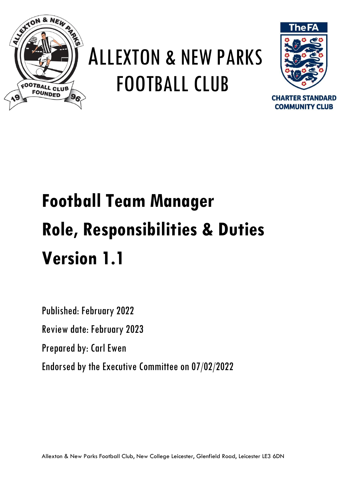

## ALLEXTON & NEW PARKS FOOTBALL CLUB



**Football Team Manager Role, Responsibilities & Duties Version 1.1**

Published: February 2022 Review date: February 2023 Prepared by: Carl Ewen Endorsed by the Executive Committee on 07/02/2022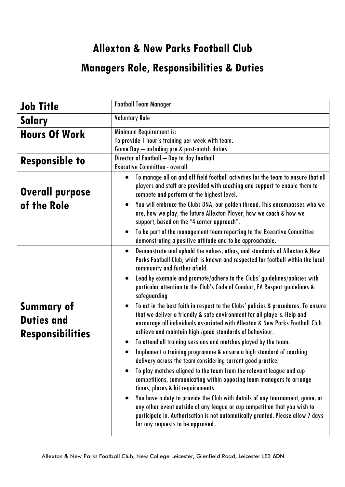## **Allexton & New Parks Football Club**

## **Managers Role, Responsibilities & Duties**

| <b>Job Title</b>                             | <b>Football Team Manager</b>                                                                                                                                                                                                                                                                                                                                                                                                                                                                                                                                                                                                                                                                                                                                                                                                                                                                                      |
|----------------------------------------------|-------------------------------------------------------------------------------------------------------------------------------------------------------------------------------------------------------------------------------------------------------------------------------------------------------------------------------------------------------------------------------------------------------------------------------------------------------------------------------------------------------------------------------------------------------------------------------------------------------------------------------------------------------------------------------------------------------------------------------------------------------------------------------------------------------------------------------------------------------------------------------------------------------------------|
| Salary                                       | <b>Voluntary Role</b>                                                                                                                                                                                                                                                                                                                                                                                                                                                                                                                                                                                                                                                                                                                                                                                                                                                                                             |
| <b>Hours Of Work</b>                         | Minimum Requirement is:<br>To provide 1 hour's training per week with team.<br>Game Day - including pre & post-match duties                                                                                                                                                                                                                                                                                                                                                                                                                                                                                                                                                                                                                                                                                                                                                                                       |
| <b>Responsible to</b>                        | Director of Football - Day to day football<br><b>Executive Committee - overall</b>                                                                                                                                                                                                                                                                                                                                                                                                                                                                                                                                                                                                                                                                                                                                                                                                                                |
| <b>Overall purpose</b><br>of the Role        | To manage all on and off field football activities for the team to ensure that all<br>$\bullet$<br>players and staff are provided with coaching and support to enable them to<br>compete and perform at the highest level.<br>You will embrace the Clubs DNA, our golden thread. This encompasses who we<br>are, how we play, the future Allexton Player, how we coach & how we<br>support, based on the "4 corner approach".<br>To be part of the management team reporting to the Executive Committee<br>$\bullet$                                                                                                                                                                                                                                                                                                                                                                                              |
|                                              | demonstrating a positive attitude and to be approachable.                                                                                                                                                                                                                                                                                                                                                                                                                                                                                                                                                                                                                                                                                                                                                                                                                                                         |
| <b>Summary of</b>                            | Demonstrate and uphold the values, ethos, and standards of Allexton & New<br>$\bullet$<br>Parks Football Club, which is known and respected for football within the local<br>community and further afield.<br>Lead by example and promote/adhere to the Clubs' guidelines/policies with<br>particular attention to the Club's Code of Conduct, FA Respect guidelines &<br>safeguarding<br>To act in the best faith in respect to the Clubs' policies & procedures. To ensure                                                                                                                                                                                                                                                                                                                                                                                                                                      |
| <b>Duties and</b><br><b>Responsibilities</b> | that we deliver a friendly & safe environment for all players. Help and<br>encourage all individuals associated with Allexton & New Parks Football Club<br>achieve and maintain high /good standards of behaviour.<br>To attend all training sessions and matches played by the team.<br>Implement a training programme & ensure a high standard of coaching<br>delivery across the team considering current good practice.<br>To play matches aligned to the team from the relevant league and cup<br>$\bullet$<br>competitions, communicating within opposing team managers to arrange<br>times, places & kit requirements.<br>You have a duty to provide the Club with details of any tournament, game, or<br>any other event outside of any league or cup competition that you wish to<br>participate in. Authorisation is not automatically granted. Please allow 7 days<br>for any requests to be approved. |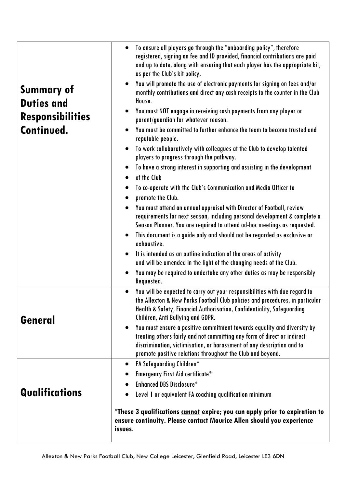| <b>Summary of</b><br><b>Duties and</b><br><b>Responsibilities</b><br>Continued. | To ensure all players go through the "onboarding policy", therefore<br>$\bullet$<br>registered, signing on fee and ID provided, financial contributions are paid<br>and up to date, along with ensuring that each player has the appropriate kit,<br>as per the Club's kit policy.<br>You will promote the use of electronic payments for signing on fees and/or<br>$\bullet$<br>monthly contributions and direct any cash receipts to the counter in the Club<br>House.<br>You must NOT engage in receiving cash payments from any player or<br>parent/guardian for whatever reason.<br>You must be committed to further enhance the team to become trusted and<br>reputable people.<br>To work collaboratively with colleagues at the Club to develop talented<br>$\bullet$<br>players to progress through the pathway.<br>To have a strong interest in supporting and assisting in the development<br>$\bullet$<br>of the Club<br>$\bullet$<br>To co-operate with the Club's Communication and Media Officer to<br>promote the Club.<br>You must attend an annual appraisal with Director of Football, review<br>$\bullet$<br>requirements for next season, including personal development & complete a<br>Season Planner. You are required to attend ad-hoc meetings as requested.<br>This document is a guide only and should not be regarded as exclusive or<br>$\bullet$<br>exhaustive.<br>It is intended as an outline indication of the areas of activity<br>$\bullet$<br>and will be amended in the light of the changing needs of the Club.<br>You may be required to undertake any other duties as may be responsibly |
|---------------------------------------------------------------------------------|-----------------------------------------------------------------------------------------------------------------------------------------------------------------------------------------------------------------------------------------------------------------------------------------------------------------------------------------------------------------------------------------------------------------------------------------------------------------------------------------------------------------------------------------------------------------------------------------------------------------------------------------------------------------------------------------------------------------------------------------------------------------------------------------------------------------------------------------------------------------------------------------------------------------------------------------------------------------------------------------------------------------------------------------------------------------------------------------------------------------------------------------------------------------------------------------------------------------------------------------------------------------------------------------------------------------------------------------------------------------------------------------------------------------------------------------------------------------------------------------------------------------------------------------------------------------------------------------------------------------------------------|
| General                                                                         | Requested.<br>You will be expected to carry out your responsibilities with due regard to<br>the Allexton & New Parks Football Club policies and procedures, in particular<br>Health & Safety, Financial Authorisation, Confidentiality, Safeguarding<br>Children, Anti Bullying and GDPR.<br>You must ensure a positive commitment towards equality and diversity by<br>$\bullet$<br>treating others fairly and not committing any form of direct or indirect<br>discrimination, victimisation, or harassment of any description and to<br>promote positive relations throughout the Club and beyond.                                                                                                                                                                                                                                                                                                                                                                                                                                                                                                                                                                                                                                                                                                                                                                                                                                                                                                                                                                                                                             |
| Qualifications                                                                  | <b>FA Safeguarding Children*</b><br>$\bullet$<br><b>Emergency First Aid certificate*</b><br><b>Enhanced DBS Disclosure*</b><br>Level 1 or equivalent FA coaching qualification minimum<br>*These 3 qualifications cannot expire; you can apply prior to expiration to<br>ensure continuity. Please contact Maurice Allen should you experience<br>issues.                                                                                                                                                                                                                                                                                                                                                                                                                                                                                                                                                                                                                                                                                                                                                                                                                                                                                                                                                                                                                                                                                                                                                                                                                                                                         |